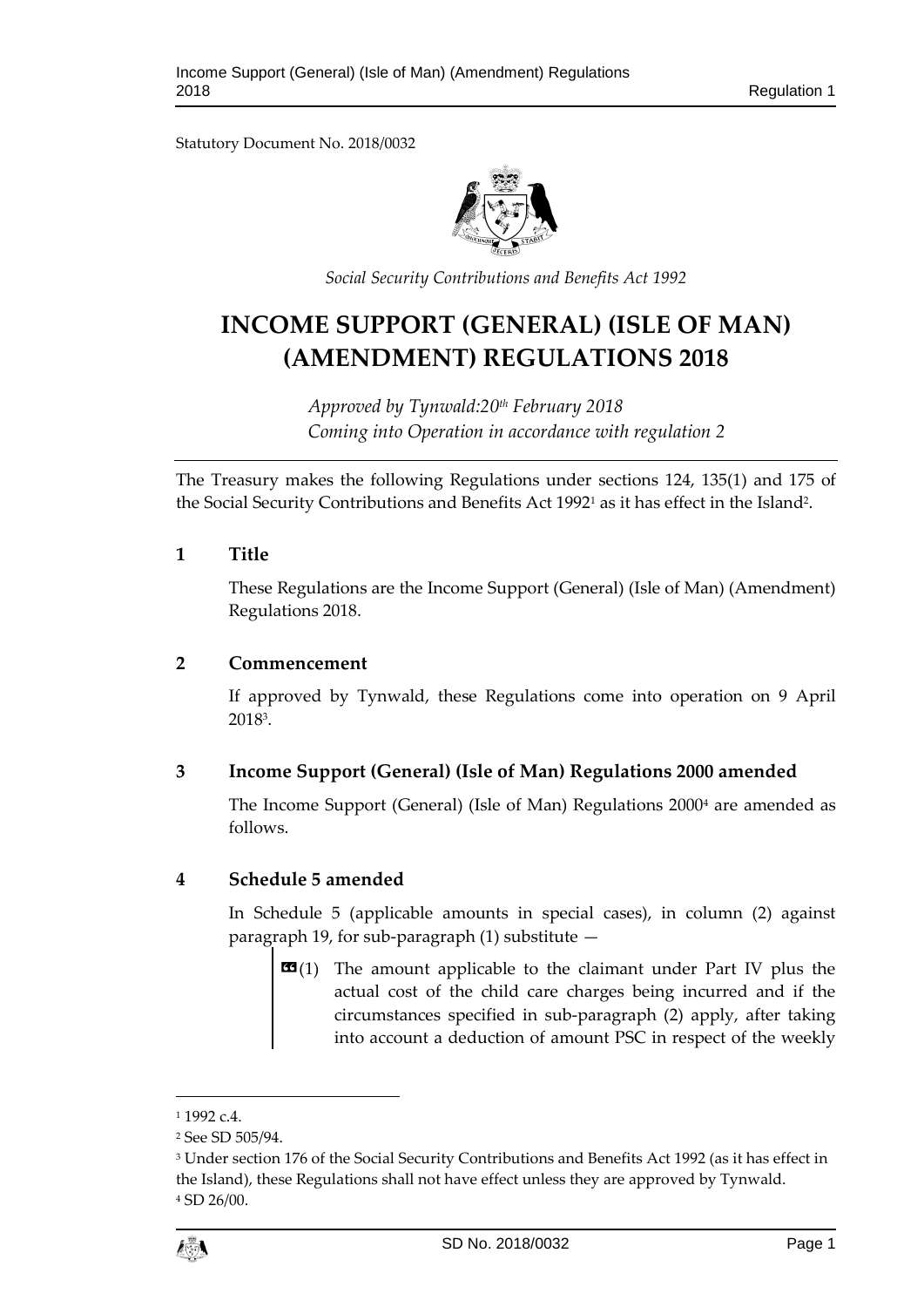Statutory Document No. 2018/0032



*Social Security Contributions and Benefits Act 1992*

# **INCOME SUPPORT (GENERAL) (ISLE OF MAN) (AMENDMENT) REGULATIONS 2018**

*Approved by Tynwald:20th February 2018 Coming into Operation in accordance with regulation 2*

The Treasury makes the following Regulations under sections 124, 135(1) and 175 of the Social Security Contributions and Benefits Act 1992<sup>1</sup> as it has effect in the Island<sup>2</sup>.

## **1 Title**

These Regulations are the Income Support (General) (Isle of Man) (Amendment) Regulations 2018.

#### **2 Commencement**

If approved by Tynwald, these Regulations come into operation on 9 April 2018<sup>3</sup> .

# **3 Income Support (General) (Isle of Man) Regulations 2000 amended**

The Income Support (General) (Isle of Man) Regulations 2000<sup>4</sup> are amended as follows.

## **4 Schedule 5 amended**

In Schedule 5 (applicable amounts in special cases), in column (2) against paragraph 19, for sub-paragraph (1) substitute —

 $\mathbf{G}(1)$  The amount applicable to the claimant under Part IV plus the actual cost of the child care charges being incurred and if the circumstances specified in sub-paragraph (2) apply, after taking into account a deduction of amount PSC in respect of the weekly

1

 $11992c4$ 

<sup>2</sup> See SD 505/94.

<sup>3</sup> Under section 176 of the Social Security Contributions and Benefits Act 1992 (as it has effect in the Island), these Regulations shall not have effect unless they are approved by Tynwald. <sup>4</sup> SD 26/00.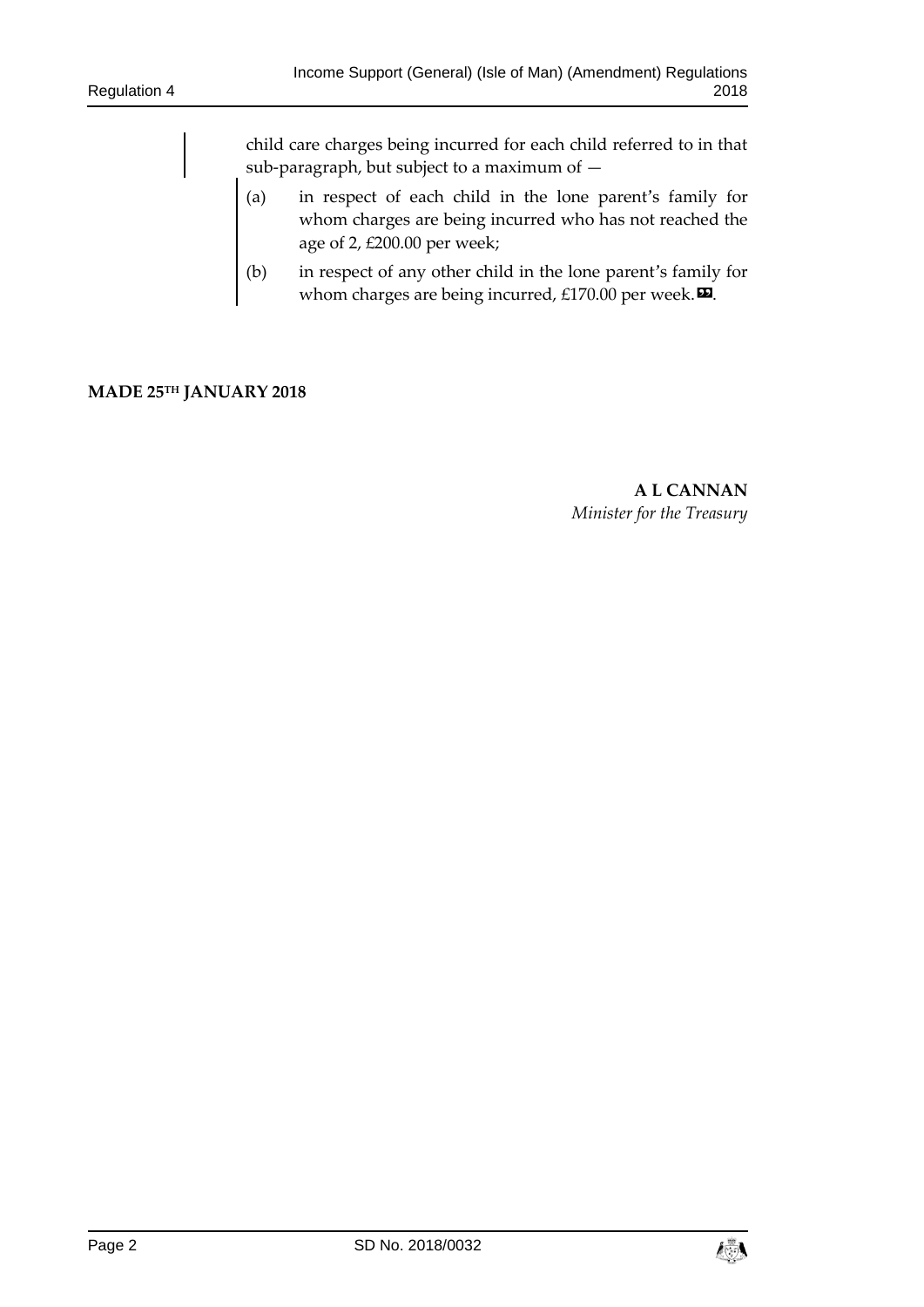child care charges being incurred for each child referred to in that sub-paragraph, but subject to a maximum of —

- (a) in respect of each child in the lone parent's family for whom charges are being incurred who has not reached the age of 2, £200.00 per week;
- (b) in respect of any other child in the lone parent's family for whom charges are being incurred, £170.00 per week. $\boldsymbol{\Xi}$ .

#### **MADE 25TH JANUARY 2018**

**A L CANNAN** *Minister for the Treasury*